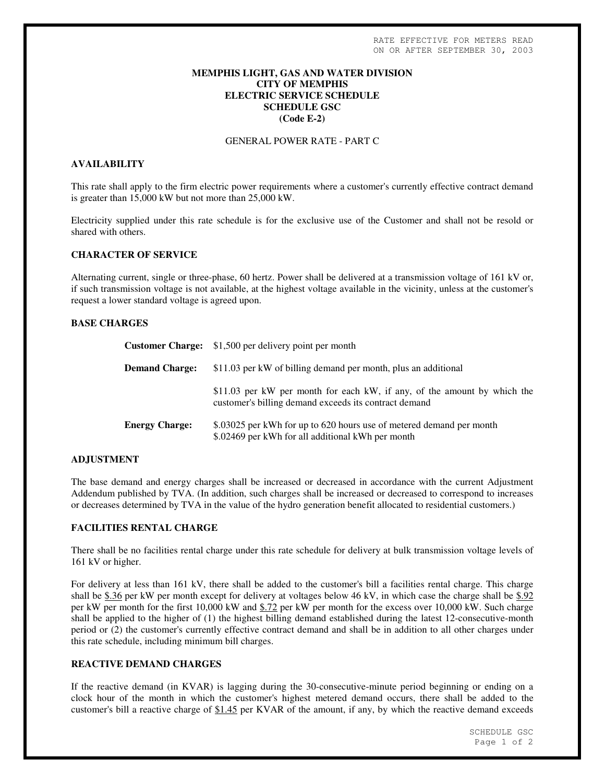### **MEMPHIS LIGHT, GAS AND WATER DIVISION CITY OF MEMPHIS ELECTRIC SERVICE SCHEDULE SCHEDULE GSC (Code E-2)**

GENERAL POWER RATE - PART C

# **AVAILABILITY**

This rate shall apply to the firm electric power requirements where a customer's currently effective contract demand is greater than 15,000 kW but not more than 25,000 kW.

Electricity supplied under this rate schedule is for the exclusive use of the Customer and shall not be resold or shared with others.

#### **CHARACTER OF SERVICE**

Alternating current, single or three-phase, 60 hertz. Power shall be delivered at a transmission voltage of 161 kV or, if such transmission voltage is not available, at the highest voltage available in the vicinity, unless at the customer's request a lower standard voltage is agreed upon.

### **BASE CHARGES**

|                       | <b>Customer Charge:</b> \$1,500 per delivery point per month                                                                      |
|-----------------------|-----------------------------------------------------------------------------------------------------------------------------------|
| <b>Demand Charge:</b> | \$11.03 per kW of billing demand per month, plus an additional                                                                    |
|                       | \$11.03 per kW per month for each kW, if any, of the amount by which the<br>customer's billing demand exceeds its contract demand |
| <b>Energy Charge:</b> | \$.03025 per kWh for up to 620 hours use of metered demand per month<br>\$.02469 per kWh for all additional kWh per month         |

#### **ADJUSTMENT**

The base demand and energy charges shall be increased or decreased in accordance with the current Adjustment Addendum published by TVA. (In addition, such charges shall be increased or decreased to correspond to increases or decreases determined by TVA in the value of the hydro generation benefit allocated to residential customers.)

### **FACILITIES RENTAL CHARGE**

There shall be no facilities rental charge under this rate schedule for delivery at bulk transmission voltage levels of 161 kV or higher.

For delivery at less than 161 kV, there shall be added to the customer's bill a facilities rental charge. This charge shall be \$.36 per kW per month except for delivery at voltages below 46 kV, in which case the charge shall be \$.92 per kW per month for the first 10,000 kW and \$.72 per kW per month for the excess over 10,000 kW. Such charge shall be applied to the higher of (1) the highest billing demand established during the latest 12-consecutive-month period or (2) the customer's currently effective contract demand and shall be in addition to all other charges under this rate schedule, including minimum bill charges.

# **REACTIVE DEMAND CHARGES**

If the reactive demand (in KVAR) is lagging during the 30-consecutive-minute period beginning or ending on a clock hour of the month in which the customer's highest metered demand occurs, there shall be added to the customer's bill a reactive charge of \$1.45 per KVAR of the amount, if any, by which the reactive demand exceeds